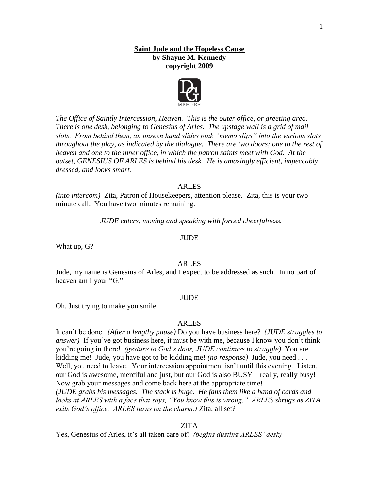# **Saint Jude and the Hopeless Cause by Shayne M. Kennedy copyright 2009**



*The Office of Saintly Intercession, Heaven. This is the outer office, or greeting area. There is one desk, belonging to Genesius of Arles. The upstage wall is a grid of mail slots. From behind them, an unseen hand slides pink "memo slips" into the various slots throughout the play, as indicated by the dialogue. There are two doors; one to the rest of heaven and one to the inner office, in which the patron saints meet with God. At the outset, GENESIUS OF ARLES is behind his desk. He is amazingly efficient, impeccably dressed, and looks smart.*

#### ARLES

*(into intercom)* Zita, Patron of Housekeepers, attention please. Zita, this is your two minute call. You have two minutes remaining.

*JUDE enters, moving and speaking with forced cheerfulness.*

#### JUDE

What up, G?

#### ARLES

Jude, my name is Genesius of Arles, and I expect to be addressed as such. In no part of heaven am I your "G."

#### JUDE

Oh. Just trying to make you smile.

#### ARLES

It can't be done. *(After a lengthy pause)* Do you have business here? *(JUDE struggles to answer*) If you've got business here, it must be with me, because I know you don't think you're going in there! *(gesture to God's door, JUDE continues to struggle)* You are kidding me! Jude, you have got to be kidding me! *(no response)* Jude, you need . . . Well, you need to leave. Your intercession appointment isn't until this evening. Listen, our God is awesome, merciful and just, but our God is also BUSY—really, really busy! Now grab your messages and come back here at the appropriate time! *(JUDE grabs his messages. The stack is huge. He fans them like a hand of cards and looks at ARLES with a face that says, "You know this is wrong." ARLES shrugs as ZITA exits God's office. ARLES turns on the charm.)* Zita, all set?

#### ZITA

Yes, Genesius of Arles, it's all taken care of! *(begins dusting ARLES' desk)*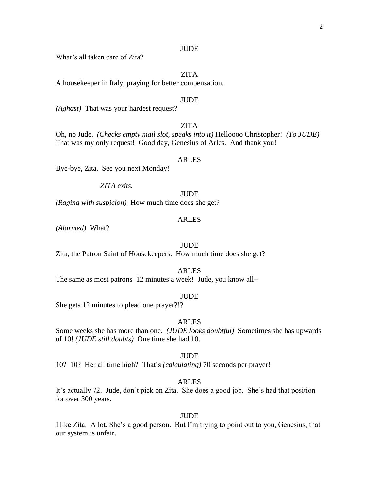#### **JUDE**

What's all taken care of Zita?

# ZITA

A housekeeper in Italy, praying for better compensation.

### JUDE

*(Aghast)* That was your hardest request?

# ZITA

Oh, no Jude. *(Checks empty mail slot, speaks into it)* Helloooo Christopher! *(To JUDE)*  That was my only request! Good day, Genesius of Arles. And thank you!

# ARLES

Bye-bye, Zita. See you next Monday!

*ZITA exits.*

**JUDE** 

*(Raging with suspicion)* How much time does she get?

# ARLES

*(Alarmed)* What?

#### JUDE

Zita, the Patron Saint of Housekeepers. How much time does she get?

#### ARLES

The same as most patrons–12 minutes a week! Jude, you know all--

#### JUDE

She gets 12 minutes to plead one prayer?!?

#### ARLES

Some weeks she has more than one. *(JUDE looks doubtful)* Sometimes she has upwards of 10! *(JUDE still doubts)* One time she had 10.

#### JUDE

10? 10? Her all time high? That's *(calculating)* 70 seconds per prayer!

# ARLES

It's actually 72. Jude, don't pick on Zita. She does a good job. She's had that position for over 300 years.

#### JUDE

I like Zita. A lot. She's a good person. But I'm trying to point out to you, Genesius, that our system is unfair.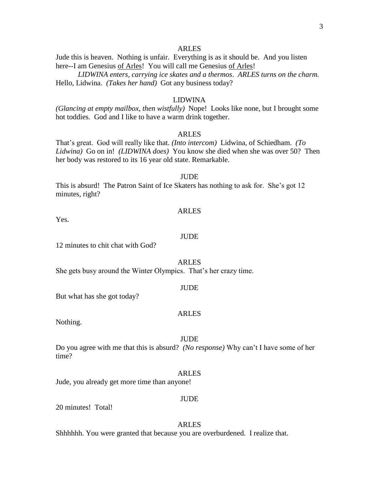Jude this is heaven. Nothing is unfair. Everything is as it should be. And you listen here--I am Genesius of Arles! You will call me Genesius of Arles!

*LIDWINA enters, carrying ice skates and a thermos*. *ARLES turns on the charm.* Hello, Lidwina. *(Takes her hand)* Got any business today?

#### LIDWINA

*(Glancing at empty mailbox, then wistfully)* Nope! Looks like none, but I brought some hot toddies. God and I like to have a warm drink together.

#### ARLES

That's great. God will really like that. *(Into intercom)* Lidwina, of Schiedham. *(To Lidwina)* Go on in! *(LIDWINA does)* You know she died when she was over 50? Then her body was restored to its 16 year old state. Remarkable.

# **JUDE**

This is absurd! The Patron Saint of Ice Skaters has nothing to ask for. She's got 12 minutes, right?

#### ARLES

Yes.

#### **JUDE**

12 minutes to chit chat with God?

#### ARLES

She gets busy around the Winter Olympics. That's her crazy time.

#### JUDE

But what has she got today?

#### ARLES

Nothing.

#### JUDE

Do you agree with me that this is absurd? *(No response)* Why can't I have some of her time?

#### ARLES

Jude, you already get more time than anyone!

#### JUDE

20 minutes! Total!

#### ARLES

Shhhhhh. You were granted that because you are overburdened. I realize that.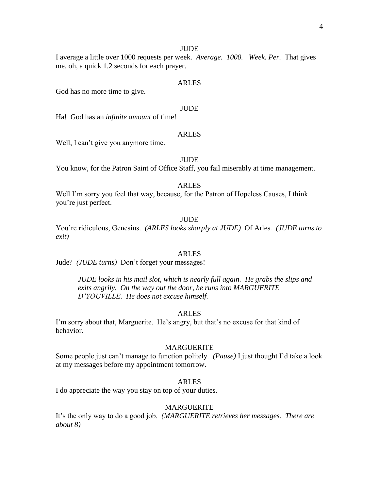#### **JUDE**

I average a little over 1000 requests per week. *Average. 1000. Week. Per.* That gives me, oh, a quick 1.2 seconds for each prayer.

#### ARLES

God has no more time to give.

#### JUDE

Ha! God has an *infinite amount* of time!

#### ARLES

Well, I can't give you anymore time.

#### JUDE

You know, for the Patron Saint of Office Staff, you fail miserably at time management.

# ARLES

Well I'm sorry you feel that way, because, for the Patron of Hopeless Causes, I think you're just perfect.

#### **JUDE**

You're ridiculous, Genesius. *(ARLES looks sharply at JUDE)* Of Arles*. (JUDE turns to exit)*

#### ARLES

Jude? *(JUDE turns)* Don't forget your messages!

*JUDE looks in his mail slot, which is nearly full again. He grabs the slips and exits angrily. On the way out the door, he runs into MARGUERITE D'YOUVILLE. He does not excuse himself.*

#### ARLES

I'm sorry about that, Marguerite. He's angry, but that's no excuse for that kind of behavior.

#### MARGUERITE

Some people just can't manage to function politely. *(Pause)* I just thought I'd take a look at my messages before my appointment tomorrow.

#### ARLES

I do appreciate the way you stay on top of your duties.

# MARGUERITE

It's the only way to do a good job. *(MARGUERITE retrieves her messages. There are about 8)*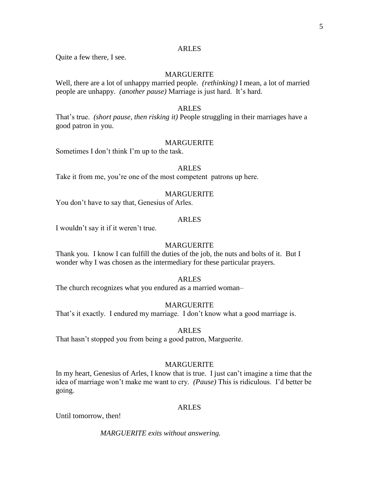Quite a few there, I see.

# MARGUERITE

Well, there are a lot of unhappy married people. *(rethinking)* I mean, a lot of married people are unhappy. *(another pause)* Marriage is just hard. It's hard.

# ARLES

That's true. *(short pause, then risking it)* People struggling in their marriages have a good patron in you.

#### MARGUERITE

Sometimes I don't think I'm up to the task.

#### ARLES

Take it from me, you're one of the most competent patrons up here.

# MARGUERITE

You don't have to say that, Genesius of Arles.

#### ARLES

I wouldn't say it if it weren't true.

### MARGUERITE

Thank you. I know I can fulfill the duties of the job, the nuts and bolts of it. But I wonder why I was chosen as the intermediary for these particular prayers.

#### ARLES

The church recognizes what you endured as a married woman–

#### MARGUERITE

That's it exactly. I endured my marriage. I don't know what a good marriage is.

# ARLES

That hasn't stopped you from being a good patron, Marguerite.

#### MARGUERITE

In my heart, Genesius of Arles, I know that is true. I just can't imagine a time that the idea of marriage won't make me want to cry. *(Pause)* This is ridiculous. I'd better be going.

#### ARLES

Until tomorrow, then!

*MARGUERITE exits without answering.*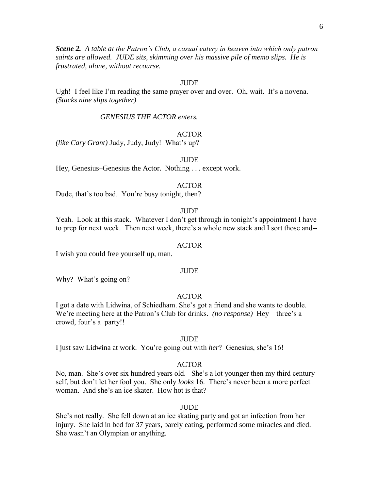*Scene 2. A table at the Patron's Club, a casual eatery in heaven into which only patron saints are allowed. JUDE sits, skimming over his massive pile of memo slips. He is frustrated, alone, without recourse.*

#### **JUDE**

Ugh! I feel like I'm reading the same prayer over and over. Oh, wait. It's a novena. *(Stacks nine slips together)*

*GENESIUS THE ACTOR enters.*

### ACTOR

*(like Cary Grant)* Judy, Judy, Judy! What's up?

#### JUDE

Hey, Genesius–Genesius the Actor. Nothing . . . except work.

#### ACTOR

Dude, that's too bad. You're busy tonight, then?

## **JUDE**

Yeah. Look at this stack. Whatever I don't get through in tonight's appointment I have to prep for next week. Then next week, there's a whole new stack and I sort those and--

#### ACTOR

I wish you could free yourself up, man.

#### JUDE

Why? What's going on?

# ACTOR

I got a date with Lidwina, of Schiedham. She's got a friend and she wants to double. We're meeting here at the Patron's Club for drinks. *(no response)* Hey—three's a crowd, four's a party!!

#### JUDE

I just saw Lidwina at work. You're going out with *her*? Genesius, she's 16!

#### ACTOR

No, man. She's over six hundred years old. She's a lot younger then my third century self, but don't let her fool you. She only *looks* 16. There's never been a more perfect woman. And she's an ice skater. How hot is that?

#### **JUDE**

She's not really. She fell down at an ice skating party and got an infection from her injury. She laid in bed for 37 years, barely eating, performed some miracles and died. She wasn't an Olympian or anything.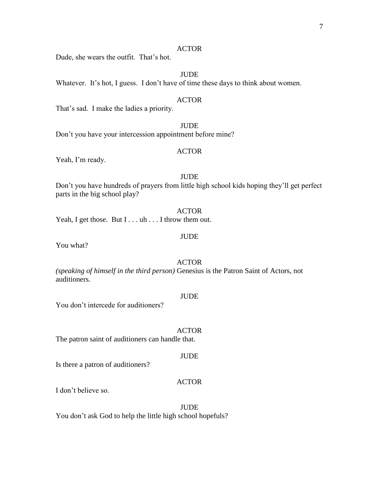# ACTOR

Dude, she wears the outfit. That's hot.

# JUDE

Whatever. It's hot, I guess. I don't have of time these days to think about women.

#### ACTOR

That's sad. I make the ladies a priority.

JUDE Don't you have your intercession appointment before mine?

#### ACTOR

Yeah, I'm ready.

# **JUDE**

Don't you have hundreds of prayers from little high school kids hoping they'll get perfect parts in the big school play?

ACTOR Yeah, I get those. But I . . . uh . . . I throw them out.

#### **JUDE**

You what?

# ACTOR

*(speaking of himself in the third person)* Genesius is the Patron Saint of Actors, not auditioners.

#### JUDE

You don't intercede for auditioners?

#### ACTOR

The patron saint of auditioners can handle that.

#### JUDE

Is there a patron of auditioners?

# ACTOR

I don't believe so.

**JUDE** You don't ask God to help the little high school hopefuls?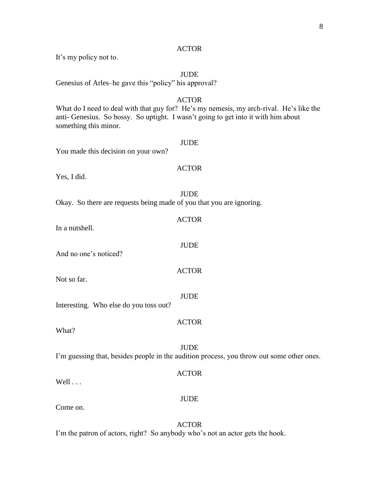# ACTOR

It's my policy not to.

# JUDE

Genesius of Arles–he gave this "policy" his approval?

# ACTOR

What do I need to deal with that guy for? He's my nemesis, my arch-rival. He's like the anti- Genesius. So bossy. So uptight. I wasn't going to get into it with him about something this minor.

# JUDE You made this decision on your own? ACTOR Yes, I did. JUDE Okay. So there are requests being made of you that you are ignoring. ACTOR In a nutshell.

And no one's noticed?

Not so far.

Interesting. Who else do you toss out?

What?

JUDE I'm guessing that, besides people in the audition process, you throw out some other ones.

ACTOR

JUDE

JUDE

ACTOR

JUDE

ACTOR

Well . . .

Come on.

ACTOR

I'm the patron of actors, right? So anybody who's not an actor gets the hook.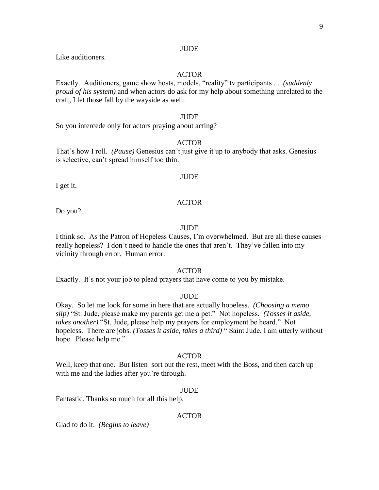#### **JUDE**

Like auditioners.

# ACTOR

Exactly. Auditioners, game show hosts, models, "reality" tv participants . . .*(suddenly proud of his system)* and when actors do ask for my help about something unrelated to the craft, I let those fall by the wayside as well.

#### JUDE

So you intercede only for actors praying about acting?

#### ACTOR

That's how I roll. *(Pause)* Genesius can't just give it up to anybody that asks. Genesius is selective, can't spread himself too thin.

#### **JUDE**

I get it.

#### ACTOR

Do you?

# JUDE

I think so. As the Patron of Hopeless Causes, I'm overwhelmed. But are all these causes really hopeless? I don't need to handle the ones that aren't. They've fallen into my vicinity through error. Human error.

# ACTOR

Exactly. It's not your job to plead prayers that have come to you by mistake.

#### JUDE

Okay. So let me look for some in here that are actually hopeless. *(Choosing a memo slip)* "St. Jude, please make my parents get me a pet." Not hopeless. *(Tosses it aside, takes another)* "St. Jude, please help my prayers for employment be heard." Not hopeless. There are jobs. *(Tosses it aside, takes a third)* " Saint Jude, I am utterly without hope. Please help me."

#### ACTOR

Well, keep that one. But listen–sort out the rest, meet with the Boss, and then catch up with me and the ladies after you're through.

#### JUDE

Fantastic. Thanks so much for all this help.

#### ACTOR

Glad to do it. *(Begins to leave)*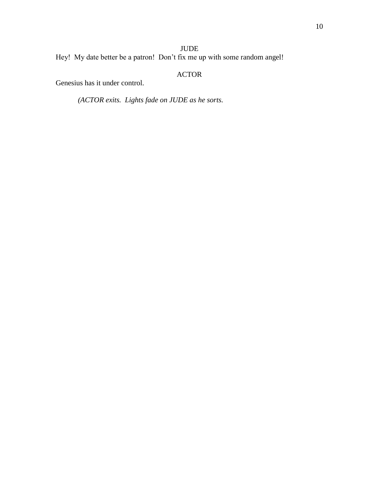# JUDE

Hey! My date better be a patron! Don't fix me up with some random angel!

# ACTOR

Genesius has it under control.

*(ACTOR exits. Lights fade on JUDE as he sorts.*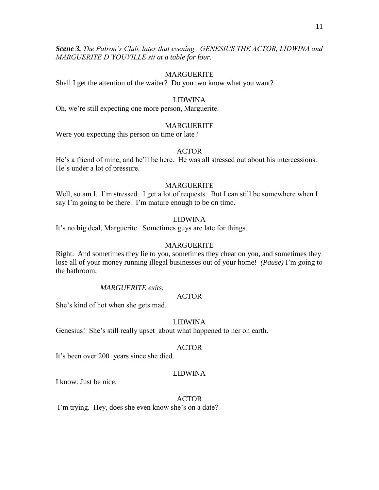*Scene 3. The Patron's Club, later that evening. GENESIUS THE ACTOR, LIDWINA and MARGUERITE D'YOUVILLE sit at a table for four.*

# MARGUERITE

Shall I get the attention of the waiter? Do you two know what you want?

# LIDWINA

Oh, we're still expecting one more person, Marguerite.

# MARGUERITE

Were you expecting this person on time or late?

# ACTOR

He's a friend of mine, and he'll be here. He was all stressed out about his intercessions. He's under a lot of pressure.

# MARGUERITE

Well, so am I. I'm stressed. I get a lot of requests. But I can still be somewhere when I say I'm going to be there. I'm mature enough to be on time.

# LIDWINA

It's no big deal, Marguerite. Sometimes guys are late for things.

### MARGUERITE

Right. And sometimes they lie to you, sometimes they cheat on you, and sometimes they lose all of your money running illegal businesses out of your home! *(Pause)* I'm going to the bathroom.

#### *MARGUERITE exits.*

# ACTOR

She's kind of hot when she gets mad.

# LIDWINA

Genesius! She's still really upset about what happened to her on earth.

# ACTOR

It's been over 200 years since she died.

# LIDWINA

I know. Just be nice.

ACTOR

I'm trying. Hey, does she even know she's on a date?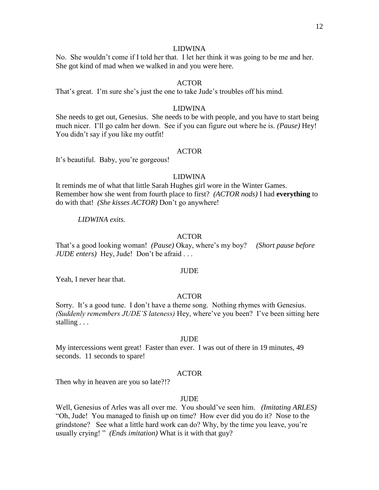#### LIDWINA

No. She wouldn't come if I told her that. I let her think it was going to be me and her. She got kind of mad when we walked in and you were here.

# ACTOR

That's great. I'm sure she's just the one to take Jude's troubles off his mind.

#### LIDWINA

She needs to get out, Genesius. She needs to be with people, and you have to start being much nicer. I'll go calm her down. See if you can figure out where he is. *(Pause)* Hey! You didn't say if you like my outfit!

#### ACTOR

It's beautiful. Baby, you're gorgeous!

# LIDWINA

It reminds me of what that little Sarah Hughes girl wore in the Winter Games. Remember how she went from fourth place to first? *(ACTOR nods)* I had **everything** to do with that! *(She kisses ACTOR)* Don't go anywhere!

#### *LIDWINA exits.*

#### ACTOR

That's a good looking woman! *(Pause)* Okay, where's my boy? *(Short pause before JUDE enters)* Hey, Jude! Don't be afraid . . .

#### JUDE

Yeah, I never hear that.

# ACTOR

Sorry. It's a good tune. I don't have a theme song. Nothing rhymes with Genesius. *(Suddenly remembers JUDE'S lateness)* Hey, where've you been? I've been sitting here stalling . . .

#### JUDE

My intercessions went great! Faster than ever. I was out of there in 19 minutes, 49 seconds. 11 seconds to spare!

#### ACTOR

Then why in heaven are you so late?!?

# **JUDE**

Well, Genesius of Arles was all over me. You should've seen him. *(Imitating ARLES)*  "Oh, Jude! You managed to finish up on time? How ever did you do it? Nose to the grindstone? See what a little hard work can do? Why, by the time you leave, you're usually crying! " *(Ends imitation)* What is it with that guy?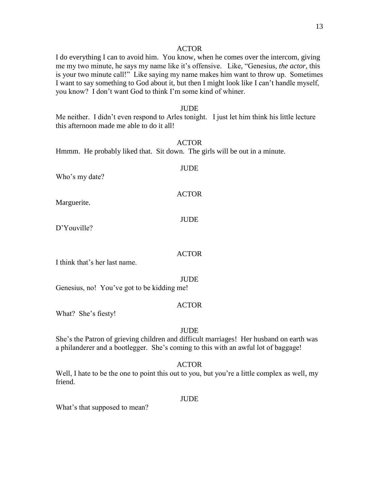#### ACTOR

I do everything I can to avoid him. You know, when he comes over the intercom, giving me my two minute, he says my name like it's offensive. Like, "Genesius, *the actor,* this is your two minute call!" Like saying my name makes him want to throw up. Sometimes I want to say something to God about it, but then I might look like I can't handle myself, you know? I don't want God to think I'm some kind of whiner.

### **JUDE**

Me neither. I didn't even respond to Arles tonight. I just let him think his little lecture this afternoon made me able to do it all!

#### ACTOR

Hmmm. He probably liked that. Sit down. The girls will be out in a minute.

| Who's my date? | <b>JUDE</b>  |
|----------------|--------------|
| Marguerite.    | <b>ACTOR</b> |
|                | JUDE         |

D'Youville?

#### ACTOR

I think that's her last name.

#### **JUDE**

Genesius, no! You've got to be kidding me!

# ACTOR

What? She's fiesty!

#### JUDE

She's the Patron of grieving children and difficult marriages! Her husband on earth was a philanderer and a bootlegger. She's coming to this with an awful lot of baggage!

#### ACTOR

Well, I hate to be the one to point this out to you, but you're a little complex as well, my friend.

#### **JUDE**

What's that supposed to mean?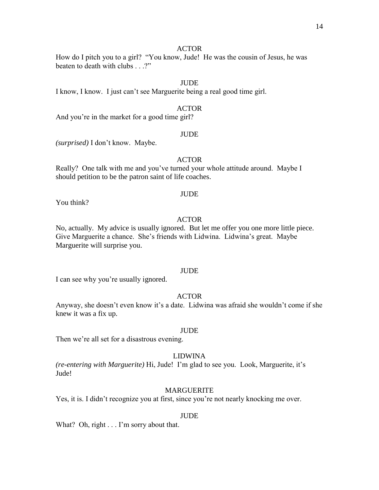# ACTOR

How do I pitch you to a girl? "You know, Jude! He was the cousin of Jesus, he was beaten to death with clubs . . .?"

# **JUDE**

I know, I know. I just can't see Marguerite being a real good time girl.

# ACTOR

And you're in the market for a good time girl?

#### JUDE

*(surprised)* I don't know. Maybe.

# ACTOR

Really? One talk with me and you've turned your whole attitude around. Maybe I should petition to be the patron saint of life coaches.

#### JUDE

You think?

# ACTOR

No, actually. My advice is usually ignored. But let me offer you one more little piece. Give Marguerite a chance. She's friends with Lidwina. Lidwina's great. Maybe Marguerite will surprise you.

#### JUDE

I can see why you're usually ignored.

# ACTOR

Anyway, she doesn't even know it's a date. Lidwina was afraid she wouldn't come if she knew it was a fix up.

#### JUDE

Then we're all set for a disastrous evening.

#### LIDWINA

*(re-entering with Marguerite)* Hi, Jude! I'm glad to see you. Look, Marguerite, it's Jude!

#### MARGUERITE

Yes, it is. I didn't recognize you at first, since you're not nearly knocking me over.

#### JUDE

What? Oh, right . . . I'm sorry about that.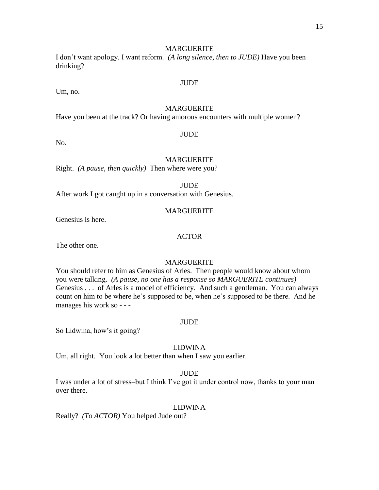#### MARGUERITE

I don't want apology. I want reform. *(A long silence, then to JUDE)* Have you been drinking?

# JUDE

# Um, no.

# MARGUERITE

Have you been at the track? Or having amorous encounters with multiple women?

# **JUDE**

No.

# MARGUERITE

Right. *(A pause, then quickly)* Then where were you?

JUDE

After work I got caught up in a conversation with Genesius.

#### MARGUERITE

Genesius is here.

# ACTOR

The other one.

# MARGUERITE

You should refer to him as Genesius of Arles. Then people would know about whom you were talking. *(A pause, no one has a response so MARGUERITE continues)* Genesius . . . of Arles is a model of efficiency. And such a gentleman. You can always count on him to be where he's supposed to be, when he's supposed to be there. And he manages his work so - - -

#### JUDE

So Lidwina, how's it going?

# LIDWINA

Um, all right. You look a lot better than when I saw you earlier.

#### JUDE

I was under a lot of stress–but I think I've got it under control now, thanks to your man over there.

#### LIDWINA

Really? *(To ACTOR)* You helped Jude out?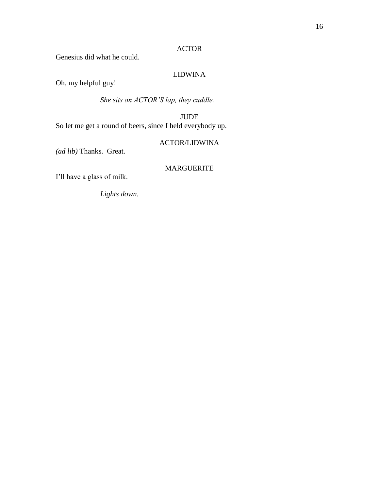# ACTOR

Genesius did what he could.

# LIDWINA

Oh, my helpful guy!

*She sits on ACTOR'S lap, they cuddle.*

JUDE So let me get a round of beers, since I held everybody up.

# ACTOR/LIDWINA

*(ad lib)* Thanks. Great.

# MARGUERITE

I'll have a glass of milk.

*Lights down.*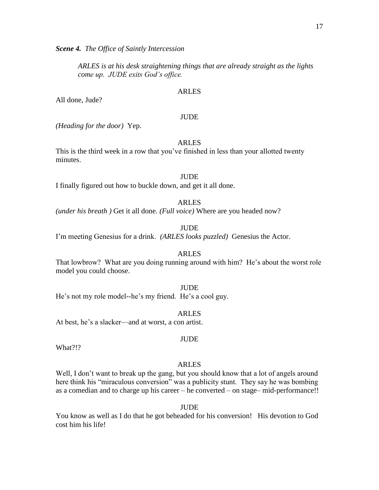*Scene 4. The Office of Saintly Intercession*

*ARLES is at his desk straightening things that are already straight as the lights come up. JUDE exits God's office.*

#### ARLES

All done, Jude?

# JUDE

*(Heading for the door)* Yep.

# ARLES

This is the third week in a row that you've finished in less than your allotted twenty minutes.

# **JUDE**

I finally figured out how to buckle down, and get it all done.

#### ARLES

*(under his breath )* Get it all done. *(Full voice)* Where are you headed now?

**JUDE** 

I'm meeting Genesius for a drink. *(ARLES looks puzzled)* Genesius the Actor.

# ARLES

That lowbrow? What are you doing running around with him? He's about the worst role model you could choose.

ARLES

JUDE

He's not my role model--he's my friend. He's a cool guy.

At best, he's a slacker—and at worst, a con artist.

What?!?

#### ARLES

JUDE

Well, I don't want to break up the gang, but you should know that a lot of angels around here think his "miraculous conversion" was a publicity stunt. They say he was bombing as a comedian and to charge up his career – he converted – on stage– mid-performance!!

**JUDE** 

You know as well as I do that he got beheaded for his conversion! His devotion to God cost him his life!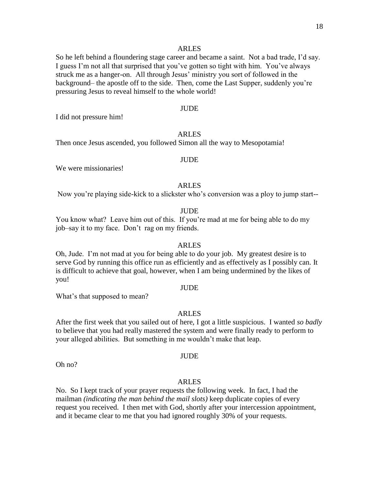So he left behind a floundering stage career and became a saint. Not a bad trade, I'd say. I guess I'm not all that surprised that you've gotten so tight with him. You've always struck me as a hanger-on. All through Jesus' ministry you sort of followed in the background– the apostle off to the side. Then, come the Last Supper, suddenly you're pressuring Jesus to reveal himself to the whole world!

# JUDE

I did not pressure him!

# ARLES

Then once Jesus ascended, you followed Simon all the way to Mesopotamia!

#### JUDE

We were missionaries!

# ARLES

Now you're playing side-kick to a slickster who's conversion was a ploy to jump start--

#### **JUDE**

You know what? Leave him out of this. If you're mad at me for being able to do my job–say it to my face. Don't rag on my friends.

#### ARLES

Oh, Jude. I'm not mad at you for being able to do your job. My greatest desire is to serve God by running this office run as efficiently and as effectively as I possibly can. It is difficult to achieve that goal, however, when I am being undermined by the likes of you!

#### JUDE

What's that supposed to mean?

#### ARLES

After the first week that you sailed out of here, I got a little suspicious. I wanted *so badly*  to believe that you had really mastered the system and were finally ready to perform to your alleged abilities. But something in me wouldn't make that leap.

Oh no?

# ARLES

JUDE

No. So I kept track of your prayer requests the following week. In fact, I had the mailman *(indicating the man behind the mail slots)* keep duplicate copies of every request you received. I then met with God, shortly after your intercession appointment, and it became clear to me that you had ignored roughly 30% of your requests.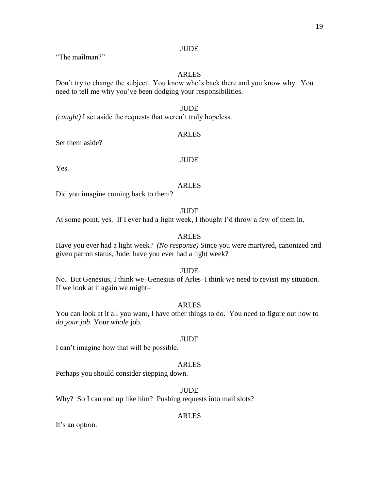# **JUDE**

"The mailman?"

# ARLES

Don't try to change the subject. You know who's back there and you know why. You need to tell me why you've been dodging your responsibilities.

# JUDE

*(caught)* I set aside the requests that weren't truly hopeless.

#### ARLES

Set them aside?

# JUDE

Yes.

# ARLES

Did you imagine coming back to them?

**JUDE** 

At some point, yes. If I ever had a light week, I thought I'd throw a few of them in.

# ARLES

Have you ever had a light week? *(No response)* Since you were martyred, canonized and given patron status, Jude, have you ever had a light week?

#### JUDE

No. But Genesius, I think we–Genesius of Arles–I think we need to revisit my situation. If we look at it again we might–

#### ARLES

You can look at it all you want, I have other things to do. You need to figure out how to *do your job*. Your *whole* job.

#### **JUDE**

I can't imagine how that will be possible.

#### ARLES

Perhaps you should consider stepping down.

# JUDE

Why? So I can end up like him? Pushing requests into mail slots?

#### ARLES

It's an option.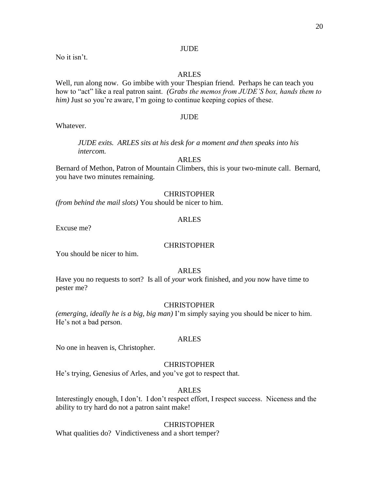# **JUDE**

No it isn't.

# ARLES

Well, run along now. Go imbibe with your Thespian friend. Perhaps he can teach you how to "act" like a real patron saint. *(Grabs the memos from JUDE'S box, hands them to him*) Just so you're aware, I'm going to continue keeping copies of these.

# JUDE

Whatever.

*JUDE exits. ARLES sits at his desk for a moment and then speaks into his intercom.*

# ARLES

Bernard of Methon, Patron of Mountain Climbers, this is your two-minute call. Bernard, you have two minutes remaining.

# **CHRISTOPHER**

*(from behind the mail slots)* You should be nicer to him.

# ARLES

Excuse me?

### **CHRISTOPHER**

You should be nicer to him.

# ARLES

Have you no requests to sort? Is all of *your* work finished, and *you* now have time to pester me?

# **CHRISTOPHER**

*(emerging, ideally he is a big, big man)* I'm simply saying you should be nicer to him. He's not a bad person.

# ARLES

No one in heaven is, Christopher.

# **CHRISTOPHER**

He's trying, Genesius of Arles, and you've got to respect that.

# ARLES

Interestingly enough, I don't. I don't respect effort, I respect success. Niceness and the ability to try hard do not a patron saint make!

# **CHRISTOPHER**

What qualities do? Vindictiveness and a short temper?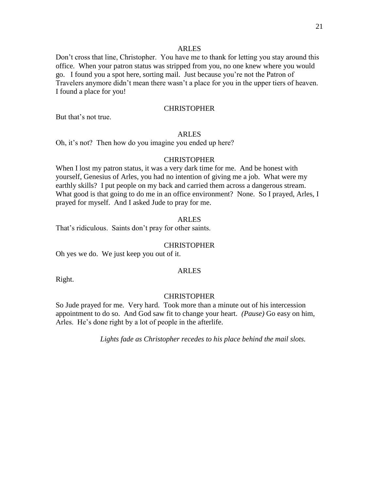Don't cross that line, Christopher. You have me to thank for letting you stay around this office. When your patron status was stripped from you, no one knew where you would go. I found you a spot here, sorting mail. Just because you're not the Patron of Travelers anymore didn't mean there wasn't a place for you in the upper tiers of heaven. I found a place for you!

# **CHRISTOPHER**

But that's not true.

#### ARLES

Oh, it's not? Then how do you imagine you ended up here?

# **CHRISTOPHER**

When I lost my patron status, it was a very dark time for me. And be honest with yourself, Genesius of Arles, you had no intention of giving me a job. What were my earthly skills? I put people on my back and carried them across a dangerous stream. What good is that going to do me in an office environment? None. So I prayed, Arles, I prayed for myself. And I asked Jude to pray for me.

#### ARLES

That's ridiculous. Saints don't pray for other saints.

#### CHRISTOPHER

Oh yes we do. We just keep you out of it.

Right.

# ARLES

# **CHRISTOPHER**

So Jude prayed for me. Very hard. Took more than a minute out of his intercession appointment to do so. And God saw fit to change your heart. *(Pause)* Go easy on him, Arles. He's done right by a lot of people in the afterlife.

*Lights fade as Christopher recedes to his place behind the mail slots.*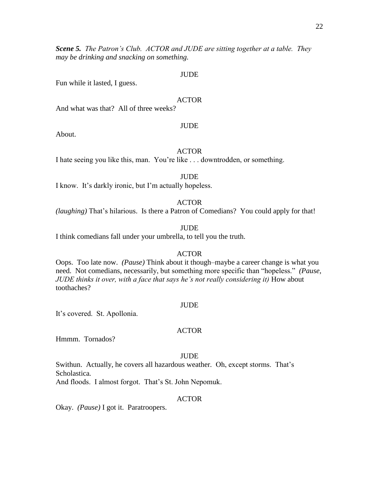*Scene 5. The Patron's Club. ACTOR and JUDE are sitting together at a table. They may be drinking and snacking on something.*

#### JUDE

Fun while it lasted, I guess.

#### ACTOR

And what was that? All of three weeks?

#### **JUDE**

About.

# ACTOR

I hate seeing you like this, man. You're like . . . downtrodden, or something.

#### **JUDE**

I know. It's darkly ironic, but I'm actually hopeless.

### ACTOR

*(laughing)* That's hilarious. Is there a Patron of Comedians? You could apply for that!

#### **JUDE**

I think comedians fall under your umbrella, to tell you the truth.

#### ACTOR

Oops. Too late now. *(Pause)* Think about it though–maybe a career change is what you need. Not comedians, necessarily, but something more specific than "hopeless." *(Pause, JUDE thinks it over, with a face that says he's not really considering it)* How about toothaches?

#### **JUDE**

It's covered. St. Apollonia.

#### ACTOR

Hmmm. Tornados?

#### JUDE

Swithun. Actually, he covers all hazardous weather*.* Oh, except storms. That's Scholastica*.*

And floods. I almost forgot. That's St. John Nepomuk.

# ACTOR

Okay. *(Pause)* I got it. Paratroopers.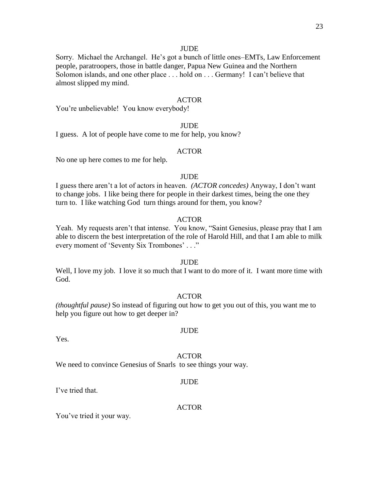#### **JUDE**

Sorry. Michael the Archangel. He's got a bunch of little ones–EMTs, Law Enforcement people, paratroopers, those in battle danger, Papua New Guinea and the Northern Solomon islands, and one other place . . . hold on . . . Germany! I can't believe that almost slipped my mind.

#### ACTOR

You're unbelievable! You know everybody!

# JUDE

I guess. A lot of people have come to me for help, you know?

#### ACTOR

No one up here comes to me for help.

# **JUDE**

I guess there aren't a lot of actors in heaven. *(ACTOR concedes)* Anyway, I don't want to change jobs. I like being there for people in their darkest times, being the one they turn to. I like watching God turn things around for them, you know?

#### ACTOR

Yeah. My requests aren't that intense. You know, "Saint Genesius, please pray that I am able to discern the best interpretation of the role of Harold Hill, and that I am able to milk every moment of 'Seventy Six Trombones' . . ."

#### **JUDE**

Well, I love my job. I love it so much that I want to do more of it. I want more time with God.

# ACTOR

*(thoughtful pause)* So instead of figuring out how to get you out of this, you want me to help you figure out how to get deeper in?

#### Yes.

#### ACTOR

JUDE

We need to convince Genesius of Snarls to see things your way.

#### JUDE

I've tried that.

# ACTOR

You've tried it your way.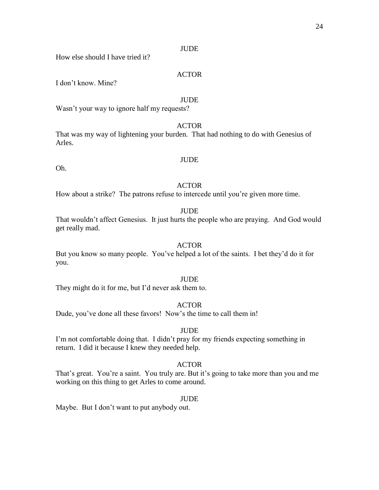#### **JUDE**

How else should I have tried it?

# ACTOR

I don't know. Mine?

#### **JUDE**

Wasn't your way to ignore half my requests?

# ACTOR

That was my way of lightening your burden. That had nothing to do with Genesius of Arles.

#### JUDE

Oh.

# ACTOR

How about a strike? The patrons refuse to intercede until you're given more time.

#### **JUDE**

That wouldn't affect Genesius. It just hurts the people who are praying. And God would get really mad.

#### ACTOR

But you know so many people. You've helped a lot of the saints. I bet they'd do it for you.

# **JUDE**

They might do it for me, but I'd never ask them to.

#### ACTOR

Dude, you've done all these favors! Now's the time to call them in!

# JUDE

I'm not comfortable doing that. I didn't pray for my friends expecting something in return. I did it because I knew they needed help.

#### ACTOR

That's great. You're a saint. You truly are. But it's going to take more than you and me working on this thing to get Arles to come around.

#### **JUDE**

Maybe. But I don't want to put anybody out.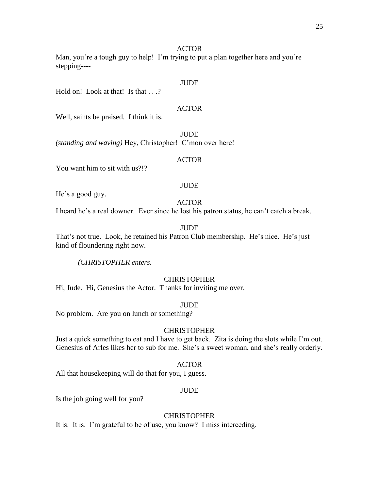# ACTOR

Man, you're a tough guy to help! I'm trying to put a plan together here and you're stepping----

# **JUDE**

Hold on! Look at that! Is that . . .?

# ACTOR

Well, saints be praised. I think it is.

**JUDE** *(standing and waving)* Hey, Christopher! C'mon over here!

#### ACTOR

You want him to sit with us?!?

# JUDE

He's a good guy.

# ACTOR

I heard he's a real downer. Ever since he lost his patron status, he can't catch a break.

# **JUDE**

That's not true. Look, he retained his Patron Club membership. He's nice. He's just kind of floundering right now.

*(CHRISTOPHER enters.*

# **CHRISTOPHER**

Hi, Jude. Hi, Genesius the Actor. Thanks for inviting me over.

#### JUDE

No problem. Are you on lunch or something?

# **CHRISTOPHER**

Just a quick something to eat and I have to get back. Zita is doing the slots while I'm out. Genesius of Arles likes her to sub for me. She's a sweet woman, and she's really orderly.

# ACTOR

All that housekeeping will do that for you, I guess.

#### JUDE

Is the job going well for you?

# CHRISTOPHER

It is. It is. I'm grateful to be of use, you know? I miss interceding.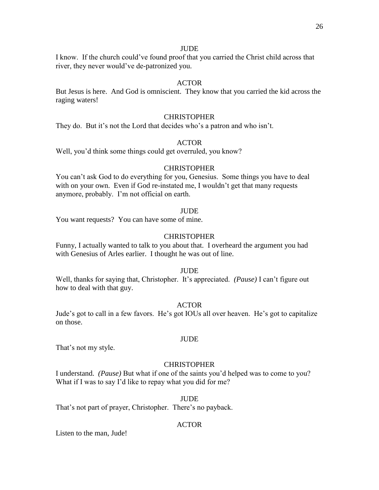### **JUDE**

I know. If the church could've found proof that you carried the Christ child across that river, they never would've de-patronized you.

# ACTOR

But Jesus is here. And God is omniscient. They know that you carried the kid across the raging waters!

#### **CHRISTOPHER**

They do. But it's not the Lord that decides who's a patron and who isn't.

# ACTOR

Well, you'd think some things could get overruled, you know?

### **CHRISTOPHER**

You can't ask God to do everything for you, Genesius. Some things you have to deal with on your own. Even if God re-instated me, I wouldn't get that many requests anymore, probably. I'm not official on earth.

#### **JUDE**

You want requests? You can have some of mine.

# **CHRISTOPHER**

Funny, I actually wanted to talk to you about that. I overheard the argument you had with Genesius of Arles earlier. I thought he was out of line.

#### JUDE

Well, thanks for saying that, Christopher. It's appreciated. *(Pause)* I can't figure out how to deal with that guy.

#### ACTOR

Jude's got to call in a few favors. He's got IOUs all over heaven. He's got to capitalize on those.

#### JUDE

That's not my style.

#### **CHRISTOPHER**

I understand. *(Pause)* But what if one of the saints you'd helped was to come to you? What if I was to say I'd like to repay what you did for me?

# JUDE

That's not part of prayer, Christopher. There's no payback.

#### ACTOR

Listen to the man, Jude!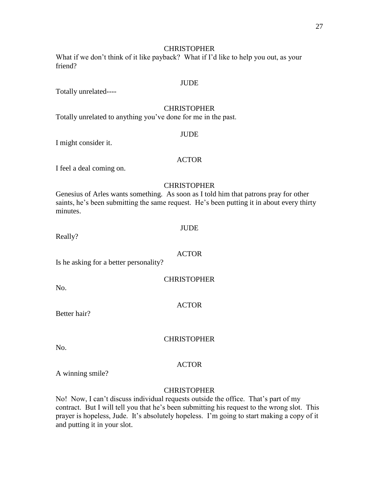# **CHRISTOPHER**

What if we don't think of it like payback? What if I'd like to help you out, as your friend?

#### JUDE

Totally unrelated----

# **CHRISTOPHER**

Totally unrelated to anything you've done for me in the past.

#### JUDE

I might consider it.

# ACTOR

I feel a deal coming on.

# **CHRISTOPHER**

Genesius of Arles wants something. As soon as I told him that patrons pray for other saints, he's been submitting the same request. He's been putting it in about every thirty minutes.

#### JUDE

Really?

#### ACTOR

Is he asking for a better personality?

| <b>CHRISTOPHER</b> |
|--------------------|
|--------------------|

No.

# ACTOR

Better hair?

# **CHRISTOPHER**

No.

#### ACTOR

A winning smile?

#### **CHRISTOPHER**

No! Now, I can't discuss individual requests outside the office. That's part of my contract. But I will tell you that he's been submitting his request to the wrong slot. This prayer is hopeless, Jude. It's absolutely hopeless. I'm going to start making a copy of it and putting it in your slot.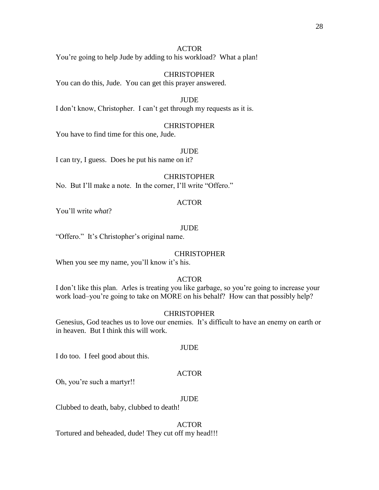28

# ACTOR

You're going to help Jude by adding to his workload? What a plan!

# CHRISTOPHER

You can do this, Jude. You can get this prayer answered.

### JUDE

I don't know, Christopher. I can't get through my requests as it is.

# CHRISTOPHER

You have to find time for this one, Jude.

# JUDE

I can try, I guess. Does he put his name on it?

# **CHRISTOPHER**

No. But I'll make a note. In the corner, I'll write "Offero."

# ACTOR

You'll write *what*?

# JUDE

"Offero." It's Christopher's original name.

# **CHRISTOPHER**

When you see my name, you'll know it's his.

# ACTOR

I don't like this plan. Arles is treating you like garbage, so you're going to increase your work load–you're going to take on MORE on his behalf? How can that possibly help?

# CHRISTOPHER

Genesius, God teaches us to love our enemies. It's difficult to have an enemy on earth or in heaven. But I think this will work.

# JUDE

I do too. I feel good about this.

# ACTOR

Oh, you're such a martyr!!

# JUDE

Clubbed to death, baby, clubbed to death!

# ACTOR

Tortured and beheaded, dude! They cut off my head!!!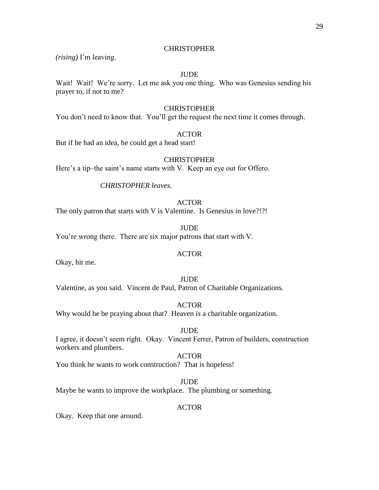# **CHRISTOPHER**

*(rising)* I'm leaving.

# JUDE

Wait! Wait! We're sorry. Let me ask you one thing. Who was Genesius sending his prayer to, if not to me?

# **CHRISTOPHER**

You don't need to know that. You'll get the request the next time it comes through.

# **ACTOR**

But if he had an idea, he could get a head start!

# **CHRISTOPHER**

Here's a tip–the saint's name starts with V. Keep an eye out for Offero.

# *CHRISTOPHER leaves.*

# ACTOR

The only patron that starts with V is Valentine. Is Genesius in love?!?!

# JUDE You're wrong there. There are six major patrons that start with V.

# ACTOR

Okay, hit me.

# **JUDE**

Valentine, as you said. Vincent de Paul, Patron of Charitable Organizations.

# ACTOR

Why would he be praying about that? Heaven *is* a charitable organization.

# JUDE

I agree, it doesn't seem right. Okay. Vincent Ferrer, Patron of builders, construction workers and plumbers.

# ACTOR

You think he wants to work construction? That is hopeless!

# JUDE

Maybe he wants to improve the workplace. The plumbing or something.

# ACTOR

Okay. Keep that one around.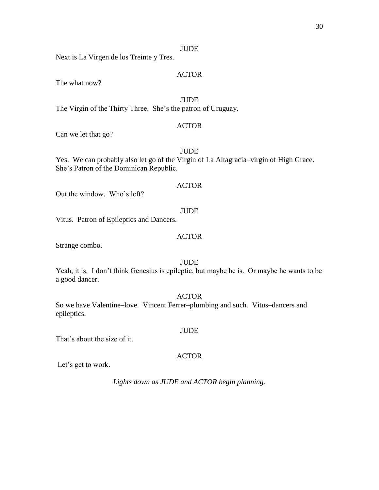### JUDE

Next is La Virgen de los Treinte y Tres.

# ACTOR

The what now?

**JUDE** 

The Virgin of the Thirty Three. She's the patron of Uruguay.

# ACTOR

Can we let that go?

# JUDE

Yes. We can probably also let go of the Virgin of La Altagracia–virgin of High Grace. She's Patron of the Dominican Republic.

# ACTOR

Out the window. Who's left?

#### JUDE

Vitus. Patron of Epileptics and Dancers.

# ACTOR

Strange combo.

# JUDE

Yeah, it is. I don't think Genesius is epileptic, but maybe he is. Or maybe he wants to be a good dancer.

# ACTOR

So we have Valentine–love. Vincent Ferrer–plumbing and such. Vitus–dancers and epileptics.

That's about the size of it.

#### ACTOR

JUDE

Let's get to work.

*Lights down as JUDE and ACTOR begin planning.*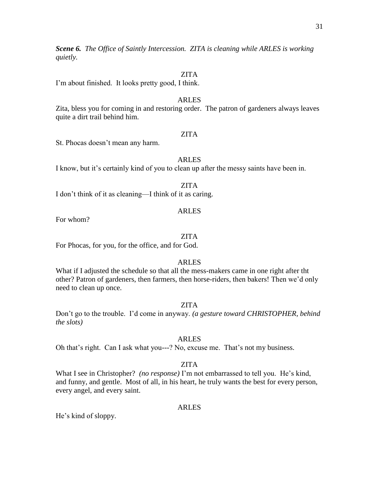*Scene 6. The Office of Saintly Intercession. ZITA is cleaning while ARLES is working quietly.*

# ZITA

I'm about finished. It looks pretty good, I think.

# ARLES

Zita, bless you for coming in and restoring order. The patron of gardeners always leaves quite a dirt trail behind him.

# ZITA

St. Phocas doesn't mean any harm.

# ARLES

I know, but it's certainly kind of you to clean up after the messy saints have been in.

I don't think of it as cleaning—I think of it as caring.

# ARLES

For whom?

# ZITA

For Phocas, for you, for the office, and for God.

# ARLES

What if I adjusted the schedule so that all the mess-makers came in one right after tht other? Patron of gardeners, then farmers, then horse-riders, then bakers! Then we'd only need to clean up once.

# ZITA

Don't go to the trouble. I'd come in anyway. *(a gesture toward CHRISTOPHER, behind the slots)*

# ARLES

Oh that's right. Can I ask what you---? No, excuse me. That's not my business.

# ZITA

What I see in Christopher? *(no response)* I'm not embarrassed to tell you. He's kind, and funny, and gentle. Most of all, in his heart, he truly wants the best for every person, every angel, and every saint.

# ARLES

He's kind of sloppy.

ZITA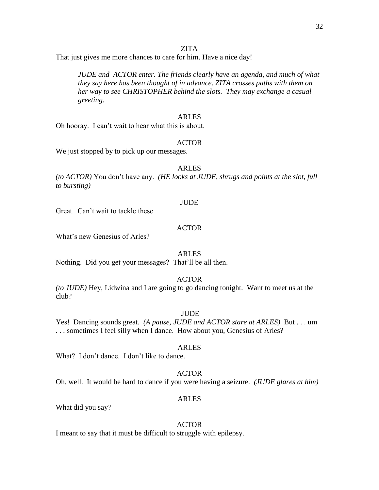# ZITA

That just gives me more chances to care for him. Have a nice day!

*JUDE and ACTOR enter. The friends clearly have an agenda, and much of what they say here has been thought of in advance*. *ZITA crosses paths with them on her way to see CHRISTOPHER behind the slots. They may exchange a casual greeting.*

#### ARLES

Oh hooray. I can't wait to hear what this is about.

# ACTOR

We just stopped by to pick up our messages.

# ARLES

*(to ACTOR)* You don't have any. *(HE looks at JUDE, shrugs and points at the slot, full to bursting)* 

#### JUDE

Great. Can't wait to tackle these.

# ACTOR

What's new Genesius of Arles?

# ARLES

Nothing. Did you get your messages? That'll be all then.

# ACTOR

*(to JUDE)* Hey, Lidwina and I are going to go dancing tonight. Want to meet us at the club?

# **JUDE**

Yes! Dancing sounds great. *(A pause, JUDE and ACTOR stare at ARLES)* But . . . um . . . sometimes I feel silly when I dance. How about you, Genesius of Arles?

# ARLES

What? I don't dance. I don't like to dance.

# ACTOR

Oh, well. It would be hard to dance if you were having a seizure. *(JUDE glares at him)* 

# ARLES

What did you say?

# ACTOR

I meant to say that it must be difficult to struggle with epilepsy.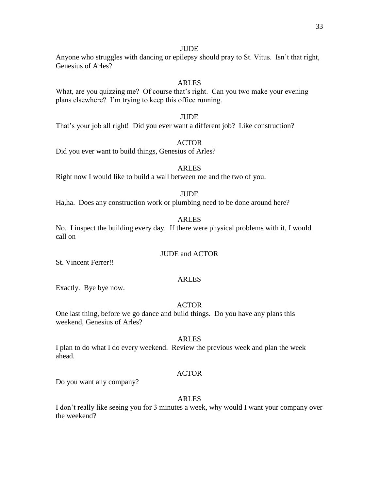# **JUDE**

Anyone who struggles with dancing or epilepsy should pray to St. Vitus. Isn't that right, Genesius of Arles?

# **ARLES**

What, are you quizzing me? Of course that's right. Can you two make your evening plans elsewhere? I'm trying to keep this office running.

# JUDE

That's your job all right! Did you ever want a different job? Like construction?

# ACTOR

Did you ever want to build things, Genesius of Arles?

# ARLES

Right now I would like to build a wall between me and the two of you.

# **JUDE**

Ha,ha. Does any construction work or plumbing need to be done around here?

# ARLES

No. I inspect the building every day. If there were physical problems with it, I would call on–

# JUDE and ACTOR

St. Vincent Ferrer!!

# ARLES

Exactly. Bye bye now.

# ACTOR

One last thing, before we go dance and build things. Do you have any plans this weekend, Genesius of Arles?

# ARLES

I plan to do what I do every weekend. Review the previous week and plan the week ahead.

# ACTOR

Do you want any company?

# ARLES

I don't really like seeing you for 3 minutes a week, why would I want your company over the weekend?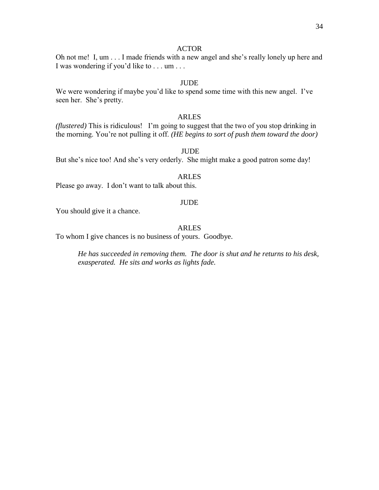#### ACTOR

Oh not me! I, um . . . I made friends with a new angel and she's really lonely up here and I was wondering if you'd like to . . . um . . .

# **JUDE**

We were wondering if maybe you'd like to spend some time with this new angel. I've seen her. She's pretty.

#### ARLES

*(flustered)* This is ridiculous! I'm going to suggest that the two of you stop drinking in the morning. You're not pulling it off. *(HE begins to sort of push them toward the door)* 

#### JUDE

But she's nice too! And she's very orderly. She might make a good patron some day!

# ARLES

Please go away. I don't want to talk about this.

#### JUDE

You should give it a chance.

# ARLES

To whom I give chances is no business of yours. Goodbye.

*He has succeeded in removing them. The door is shut and he returns to his desk, exasperated. He sits and works as lights fade.*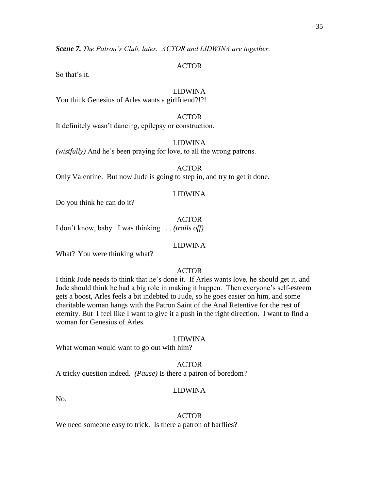*Scene 7. The Patron's Club, later. ACTOR and LIDWINA are together.*

# ACTOR

So that's it.

# LIDWINA

You think Genesius of Arles wants a girlfriend?!?!

#### ACTOR

It definitely wasn't dancing, epilepsy or construction.

#### LIDWINA

*(wistfully)* And he's been praying for love, to all the wrong patrons.

ACTOR

Only Valentine. But now Jude is going to step in, and try to get it done.

# LIDWINA

Do you think he can do it?

# ACTOR

I don't know, baby. I was thinking . . . *(trails off)*

#### LIDWINA

What? You were thinking what?

# ACTOR

I think Jude needs to think that he's done it. If Arles wants love, he should get it, and Jude should think he had a big role in making it happen. Then everyone's self-esteem gets a boost, Arles feels a bit indebted to Jude, so he goes easier on him, and some charitable woman hangs with the Patron Saint of the Anal Retentive for the rest of eternity. But I feel like I want to give it a push in the right direction. I want to find a woman for Genesius of Arles.

# LIDWINA

What woman would want to go out with him?

#### ACTOR

A tricky question indeed. *(Pause)* Is there a patron of boredom?

#### LIDWINA

No.

#### ACTOR

We need someone easy to trick. Is there a patron of barflies?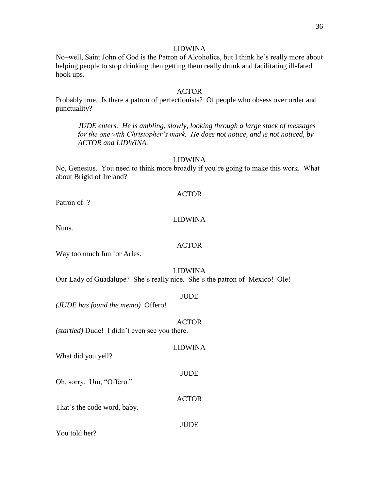#### LIDWINA

No–well, Saint John of God is the Patron of Alcoholics, but I think he's really more about helping people to stop drinking then getting them really drunk and facilitating ill-fated hook ups.

#### ACTOR

Probably true. Is there a patron of perfectionists? Of people who obsess over order and punctuality?

*JUDE enters. He is ambling, slowly, looking through a large stack of messages for the one with Christopher's mark. He does not notice, and is not noticed, by ACTOR and LIDWINA.*

# LIDWINA

No, Genesius. You need to think more broadly if you're going to make this work. What about Brigid of Ireland?

#### ACTOR

Patron of-?

# LIDWINA

Nuns.

# ACTOR

Way too much fun for Arles.

#### LIDWINA

Our Lady of Guadalupe? She's really nice. She's the patron of Mexico! Ole!

#### JUDE

*(JUDE has found the memo)* Offero!

#### ACTOR

LIDWINA

JUDE

ACTOR

*(startled)* Dude! I didn't even see you there.

What did you yell?

Oh, sorry. Um, "Offero."

That's the code word, baby.

#### JUDE

You told her?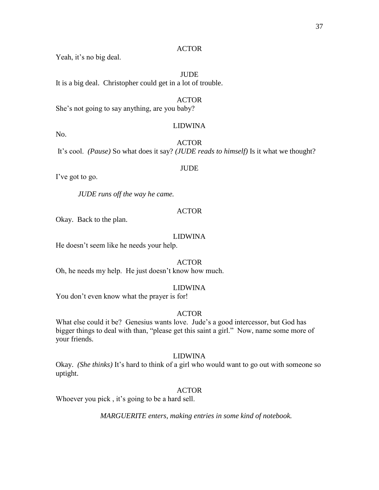# ACTOR

Yeah, it's no big deal.

# JUDE

It is a big deal. Christopher could get in a lot of trouble.

#### ACTOR

She's not going to say anything, are you baby?

#### LIDWINA

ACTOR

It's cool. *(Pause)* So what does it say? *(JUDE reads to himself)* Is it what we thought?

#### JUDE

I've got to go.

No.

*JUDE runs off the way he came.*

# ACTOR

Okay. Back to the plan.

#### LIDWINA

He doesn't seem like he needs your help.

# ACTOR

Oh, he needs my help. He just doesn't know how much.

# LIDWINA

You don't even know what the prayer is for!

# ACTOR

What else could it be? Genesius wants love. Jude's a good intercessor, but God has bigger things to deal with than, "please get this saint a girl." Now, name some more of your friends.

#### LIDWINA

Okay. *(She thinks)* It's hard to think of a girl who would want to go out with someone so uptight.

#### ACTOR

Whoever you pick , it's going to be a hard sell.

*MARGUERITE enters, making entries in some kind of notebook.*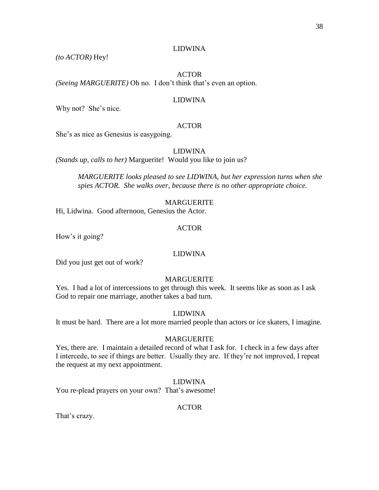# LIDWINA

*(to ACTOR)* Hey!

# ACTOR *(Seeing MARGUERITE)* Oh no. I don't think that's even an option.

### LIDWINA

Why not? She's nice.

# ACTOR

She's as nice as Genesius is easygoing.

# LIDWINA

*(Stands up, calls to her)* Marguerite! Would you like to join us?

*MARGUERITE looks pleased to see LIDWINA, but her expression turns when she spies ACTOR. She walks over*, *because there is no other appropriate choice.*

#### MARGUERITE

Hi, Lidwina. Good afternoon, Genesius the Actor.

# ACTOR

How's it going?

# LIDWINA

Did you just get out of work?

# MARGUERITE

Yes. I had a lot of intercessions to get through this week. It seems like as soon as I ask God to repair one marriage, another takes a bad turn.

# LIDWINA

It must be hard. There are a lot more married people than actors or ice skaters, I imagine.

#### MARGUERITE

Yes, there are. I maintain a detailed record of what I ask for. I check in a few days after I intercede, to see if things are better. Usually they are. If they're not improved, I repeat the request at my next appointment.

# LIDWINA

You re-plead prayers on your own? That's awesome!

# ACTOR

That's crazy.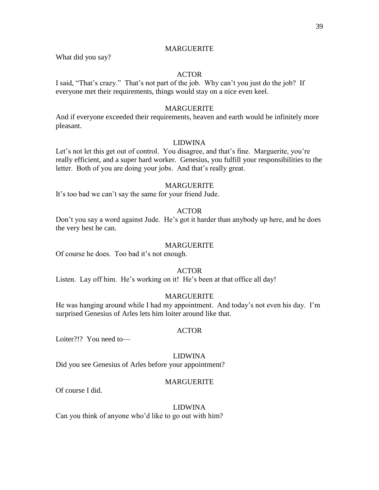# MARGUERITE

What did you say?

# ACTOR

I said, "That's crazy." That's not part of the job. Why can't you just do the job? If everyone met their requirements, things would stay on a nice even keel.

# MARGUERITE

And if everyone exceeded their requirements, heaven and earth would be infinitely more pleasant.

# LIDWINA

Let's not let this get out of control. You disagree, and that's fine. Marguerite, you're really efficient, and a super hard worker. Genesius, you fulfill your responsibilities to the letter. Both of you are doing your jobs. And that's really great.

# MARGUERITE

It's too bad we can't say the same for your friend Jude.

# ACTOR

Don't you say a word against Jude. He's got it harder than anybody up here, and he does the very best he can.

#### MARGUERITE

Of course he does. Too bad it's not enough.

#### ACTOR

Listen. Lay off him. He's working on it! He's been at that office all day!

# MARGUERITE

He was hanging around while I had my appointment. And today's not even his day. I'm surprised Genesius of Arles lets him loiter around like that.

#### ACTOR

Loiter?!? You need to—

#### LIDWINA

Did you see Genesius of Arles before your appointment?

# MARGUERITE

Of course I did.

#### LIDWINA

Can you think of anyone who'd like to go out with him?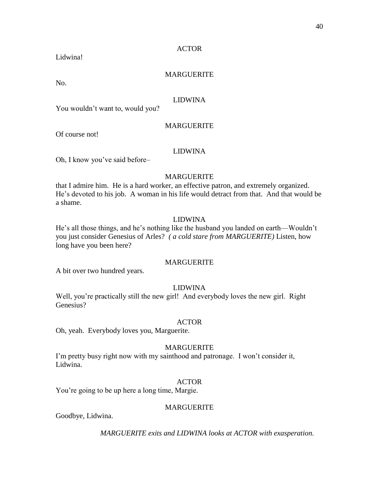# ACTOR

Lidwina!

# MARGUERITE

No.

# LIDWINA

You wouldn't want to, would you?

# MARGUERITE

Of course not!

# LIDWINA

Oh, I know you've said before–

# MARGUERITE

that I admire him. He is a hard worker, an effective patron, and extremely organized. He's devoted to his job. A woman in his life would detract from that. And that would be a shame.

# LIDWINA

He's all those things, and he's nothing like the husband you landed on earth—Wouldn't you just consider Genesius of Arles? *( a cold stare from MARGUERITE)* Listen, how long have you been here?

# MARGUERITE

A bit over two hundred years.

# LIDWINA

Well, you're practically still the new girl! And everybody loves the new girl. Right Genesius?

# ACTOR

Oh, yeah. Everybody loves you, Marguerite.

# MARGUERITE

I'm pretty busy right now with my sainthood and patronage. I won't consider it, Lidwina.

# ACTOR

You're going to be up here a long time, Margie.

# MARGUERITE

Goodbye, Lidwina.

*MARGUERITE exits and LIDWINA looks at ACTOR with exasperation.*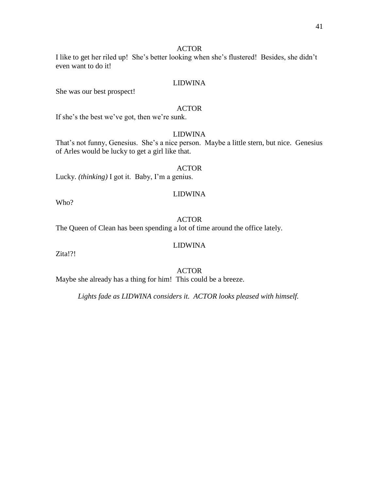# ACTOR

I like to get her riled up! She's better looking when she's flustered! Besides, she didn't even want to do it!

# LIDWINA

She was our best prospect!

#### ACTOR

If she's the best we've got, then we're sunk.

# LIDWINA

That's not funny, Genesius. She's a nice person. Maybe a little stern, but nice. Genesius of Arles would be lucky to get a girl like that.

#### ACTOR

LIDWINA

Lucky. *(thinking)* I got it. Baby, I'm a genius.

# ACTOR

The Queen of Clean has been spending a lot of time around the office lately.

# LIDWINA

Zita!?!

Who?

# ACTOR

Maybe she already has a thing for him! This could be a breeze.

*Lights fade as LIDWINA considers it. ACTOR looks pleased with himself.*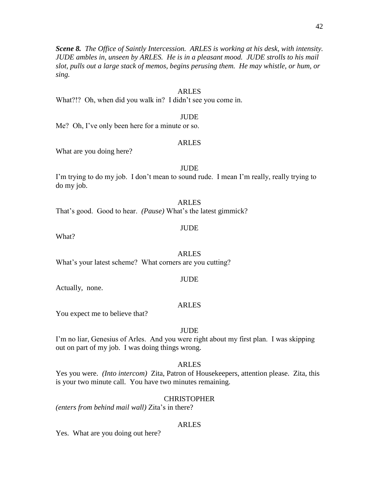*Scene 8. The Office of Saintly Intercession. ARLES is working at his desk, with intensity. JUDE ambles in, unseen by ARLES. He is in a pleasant mood. JUDE strolls to his mail slot, pulls out a large stack of memos, begins perusing them. He may whistle, or hum, or sing.*

# ARLES

What?!? Oh, when did you walk in? I didn't see you come in.

#### JUDE

Me? Oh, I've only been here for a minute or so.

#### ARLES

What are you doing here?

#### JUDE

I'm trying to do my job. I don't mean to sound rude. I mean I'm really, really trying to do my job.

#### ARLES

That's good. Good to hear. *(Pause)* What's the latest gimmick?

#### JUDE

What?

ARLES What's your latest scheme? What corners are you cutting?

#### **JUDE**

Actually, none.

#### ARLES

You expect me to believe that?

# JUDE

I'm no liar, Genesius of Arles. And you were right about my first plan. I was skipping out on part of my job. I was doing things wrong.

#### ARLES

Yes you were. *(Into intercom)* Zita, Patron of Housekeepers, attention please. Zita, this is your two minute call. You have two minutes remaining.

#### **CHRISTOPHER**

*(enters from behind mail wall)* Zita's in there?

#### ARLES

Yes. What are you doing out here?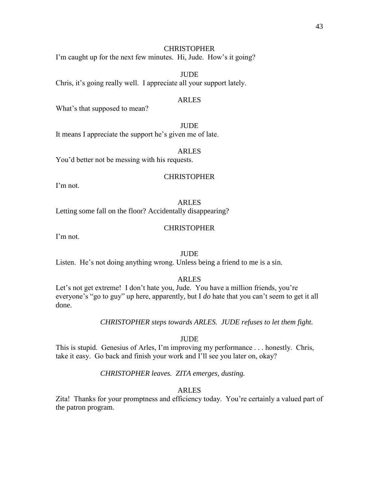# **CHRISTOPHER**

I'm caught up for the next few minutes. Hi, Jude. How's it going?

JUDE Chris, it's going really well. I appreciate all your support lately.

### ARLES

What's that supposed to mean?

JUDE It means I appreciate the support he's given me of late.

#### ARLES

You'd better not be messing with his requests.

# **CHRISTOPHER**

I'm not.

# ARLES

Letting some fall on the floor? Accidentally disappearing?

# **CHRISTOPHER**

I'm not.

# **JUDE**

Listen. He's not doing anything wrong. Unless being a friend to me is a sin.

# ARLES

Let's not get extreme! I don't hate you, Jude. You have a million friends, you're everyone's "go to guy" up here, apparently, but I *do* hate that you can't seem to get it all done.

# *CHRISTOPHER steps towards ARLES. JUDE refuses to let them fight.*

# **JUDE**

This is stupid. Genesius of Arles, I'm improving my performance . . . honestly. Chris, take it easy. Go back and finish your work and I'll see you later on, okay?

# *CHRISTOPHER leaves. ZITA emerges, dusting.*

# ARLES

Zita! Thanks for your promptness and efficiency today. You're certainly a valued part of the patron program.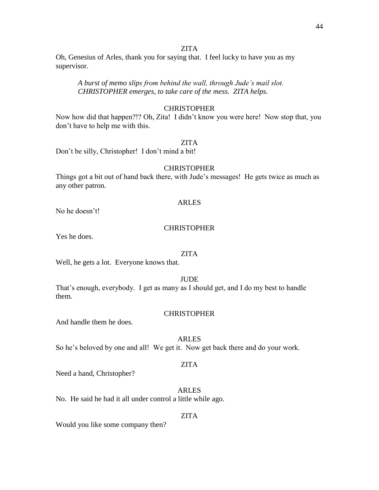# ZITA

Oh, Genesius of Arles, thank you for saying that. I feel lucky to have you as my supervisor.

*A burst of memo slips from behind the wall, through Jude's mail slot. CHRISTOPHER emerges, to take care of the mess. ZITA helps.*

# **CHRISTOPHER**

Now how did that happen?!? Oh, Zita! I didn't know you were here! Now stop that, you don't have to help me with this.

#### ZITA

Don't be silly, Christopher! I don't mind a bit!

#### **CHRISTOPHER**

Things got a bit out of hand back there, with Jude's messages! He gets twice as much as any other patron.

#### ARLES

No he doesn't!

# **CHRISTOPHER**

Yes he does.

#### ZITA

Well, he gets a lot. Everyone knows that.

# **JUDE**

That's enough, everybody. I get as many as I should get, and I do my best to handle them.

#### **CHRISTOPHER**

And handle them he does.

# ARLES

So he's beloved by one and all! We get it. Now get back there and do your work.

#### ZITA

Need a hand, Christopher?

ARLES

No. He said he had it all under control a little while ago.

#### ZITA

Would you like some company then?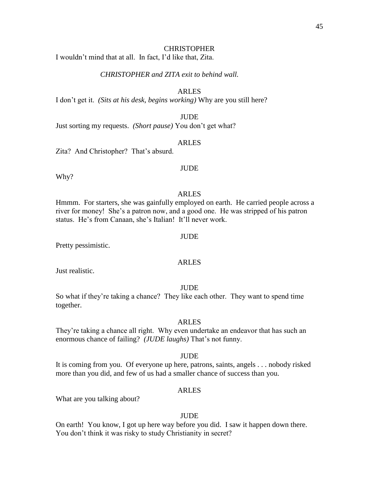#### **CHRISTOPHER**

I wouldn't mind that at all. In fact, I'd like that, Zita.

# *CHRISTOPHER and ZITA exit to behind wall.*

# ARLES

I don't get it. *(Sits at his desk, begins working)* Why are you still here?

JUDE

Just sorting my requests. *(Short pause)* You don't get what?

# ARLES

Zita? And Christopher? That's absurd.

# **JUDE**

Why?

# ARLES

Hmmm. For starters, she was gainfully employed on earth. He carried people across a river for money! She's a patron now, and a good one. He was stripped of his patron status. He's from Canaan, she's Italian! It'll never work.

#### JUDE

Pretty pessimistic.

# ARLES

Just realistic.

#### JUDE

So what if they're taking a chance? They like each other. They want to spend time together.

#### ARLES

They're taking a chance all right. Why even undertake an endeavor that has such an enormous chance of failing? *(JUDE laughs)* That's not funny.

#### **JUDE**

It is coming from you. Of everyone up here, patrons, saints, angels . . . nobody risked more than you did, and few of us had a smaller chance of success than you.

#### ARLES

What are you talking about?

#### JUDE

On earth! You know, I got up here way before you did. I saw it happen down there. You don't think it was risky to study Christianity in secret?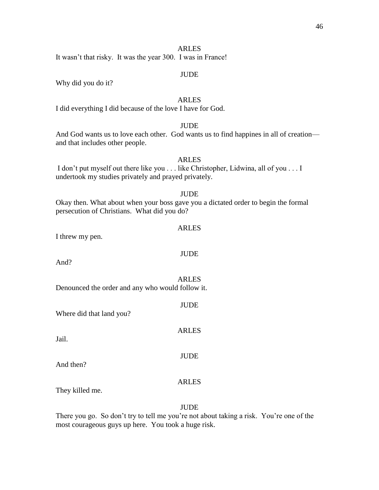It wasn't that risky. It was the year 300. I was in France!

# JUDE

Why did you do it?

# ARLES

I did everything I did because of the love I have for God.

# **JUDE**

And God wants us to love each other. God wants us to find happines in all of creation and that includes other people.

# ARLES

I don't put myself out there like you . . . like Christopher, Lidwina, all of you . . . I undertook my studies privately and prayed privately.

# **JUDE**

Okay then. What about when your boss gave you a dictated order to begin the formal persecution of Christians. What did you do?

#### ARLES

JUDE

I threw my pen.

And?

# ARLES

JUDE

ARLES

JUDE

Denounced the order and any who would follow it.

Where did that land you?

Jail.

And then?

# ARLES

They killed me.

# **JUDE**

There you go. So don't try to tell me you're not about taking a risk. You're one of the most courageous guys up here. You took a huge risk.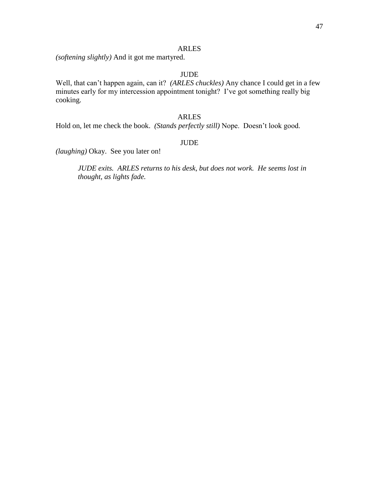*(softening slightly)* And it got me martyred.

# JUDE

Well, that can't happen again, can it? *(ARLES chuckles)* Any chance I could get in a few minutes early for my intercession appointment tonight? I've got something really big cooking.

# ARLES

Hold on, let me check the book. *(Stands perfectly still)* Nope. Doesn't look good.

# JUDE

*(laughing)* Okay. See you later on!

*JUDE exits. ARLES returns to his desk, but does not work. He seems lost in thought, as lights fade.*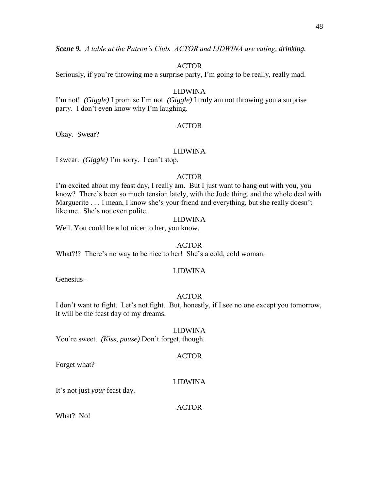*Scene 9. A table at the Patron's Club. ACTOR and LIDWINA are eating, drinking.*

### ACTOR

Seriously, if you're throwing me a surprise party, I'm going to be really, really mad.

# LIDWINA

I'm not! *(Giggle)* I promise I'm not. *(Giggle)* I truly am not throwing you a surprise party. I don't even know why I'm laughing.

#### ACTOR

Okay. Swear?

#### LIDWINA

I swear. *(Giggle)* I'm sorry. I can't stop.

# ACTOR

I'm excited about my feast day, I really am. But I just want to hang out with you, you know? There's been so much tension lately, with the Jude thing, and the whole deal with Marguerite . . . I mean, I know she's your friend and everything, but she really doesn't like me. She's not even polite.

# LIDWINA

Well. You could be a lot nicer to her, you know.

### ACTOR

What?!? There's no way to be nice to her! She's a cold, cold woman.

#### LIDWINA

Genesius–

# ACTOR

I don't want to fight. Let's not fight. But, honestly, if I see no one except you tomorrow, it will be the feast day of my dreams.

#### LIDWINA

You're sweet. *(Kiss, pause)* Don't forget, though.

# Forget what?

# LIDWINA

ACTOR

It's not just *your* feast day.

#### ACTOR

What? No!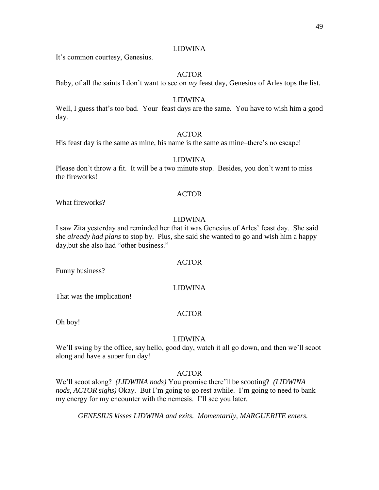# LIDWINA

It's common courtesy, Genesius.

# ACTOR

Baby, of all the saints I don't want to see on *my* feast day, Genesius of Arles tops the list.

#### LIDWINA

Well, I guess that's too bad. Your feast days are the same. You have to wish him a good day.

# **ACTOR**

His feast day is the same as mine, his name is the same as mine–there's no escape!

# LIDWINA

Please don't throw a fit. It will be a two minute stop. Besides, you don't want to miss the fireworks!

# ACTOR

What fireworks?

# LIDWINA

I saw Zita yesterday and reminded her that it was Genesius of Arles' feast day. She said she *already had plans* to stop by. Plus, she said she wanted to go and wish him a happy day,but she also had "other business."

# ACTOR

Funny business?

# LIDWINA

That was the implication!

#### ACTOR

Oh boy!

# LIDWINA

We'll swing by the office, say hello, good day, watch it all go down, and then we'll scoot along and have a super fun day!

# ACTOR

We'll scoot along? *(LIDWINA nods)* You promise there'll be scooting? *(LIDWINA nods, ACTOR sighs)* Okay. But I'm going to go rest awhile. I'm going to need to bank my energy for my encounter with the nemesis. I'll see you later.

*GENESIUS kisses LIDWINA and exits. Momentarily, MARGUERITE enters.*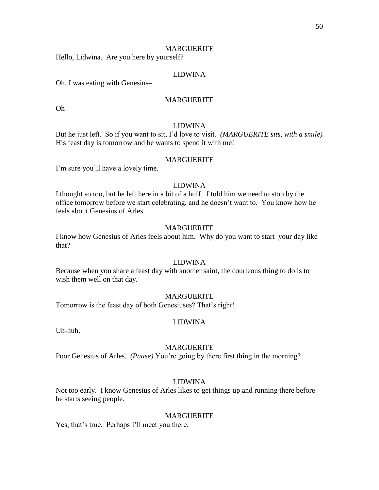#### MARGUERITE

Hello, Lidwina. Are you here by yourself?

# LIDWINA

Oh, I was eating with Genesius–

# **MARGUERITE**

Oh–

#### LIDWINA

But he just left. So if you want to sit, I'd love to visit. *(MARGUERITE sits, with a smile)* His feast day is tomorrow and he wants to spend it with me!

# MARGUERITE

I'm sure you'll have a lovely time.

# LIDWINA

I thought so too, but he left here in a bit of a huff. I told him we need to stop by the office tomorrow before we start celebrating, and he doesn't want to. You know how he feels about Genesius of Arles.

# MARGUERITE

I know how Genesius of Arles feels about him. Why do you want to start your day like that?

# LIDWINA

Because when you share a feast day with another saint, the courteous thing to do is to wish them well on that day.

#### MARGUERITE

Tomorrow is the feast day of both Genesiuses? That's right!

#### LIDWINA

Uh-huh.

#### MARGUERITE

Poor Genesius of Arles. *(Pause)* You're going by there first thing in the morning?

# LIDWINA

Not too early. I know Genesius of Arles likes to get things up and running there before he starts seeing people.

#### MARGUERITE

Yes, that's true. Perhaps I'll meet you there.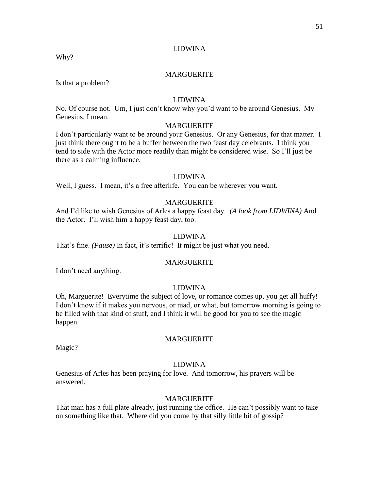# LIDWINA

Why?

# MARGUERITE

Is that a problem?

# LIDWINA

No. Of course not. Um, I just don't know why you'd want to be around Genesius. My Genesius, I mean.

# MARGUERITE

I don't particularly want to be around your Genesius. Or any Genesius, for that matter. I just think there ought to be a buffer between the two feast day celebrants. I think you tend to side with the Actor more readily than might be considered wise. So I'll just be there as a calming influence.

# LIDWINA

Well, I guess. I mean, it's a free afterlife. You can be wherever you want.

#### MARGUERITE

And I'd like to wish Genesius of Arles a happy feast day. *(A look from LIDWINA)* And the Actor. I'll wish him a happy feast day, too.

# LIDWINA

That's fine. *(Pause)* In fact, it's terrific! It might be just what you need.

#### MARGUERITE

I don't need anything.

#### LIDWINA

Oh, Marguerite! Everytime the subject of love, or romance comes up, you get all huffy! I don't know if it makes you nervous, or mad, or what, but tomorrow morning is going to be filled with that kind of stuff, and I think it will be good for you to see the magic happen.

#### MARGUERITE

Magic?

#### LIDWINA

Genesius of Arles has been praying for love. And tomorrow, his prayers will be answered.

# MARGUERITE

That man has a full plate already, just running the office. He can't possibly want to take on something like that. Where did you come by that silly little bit of gossip?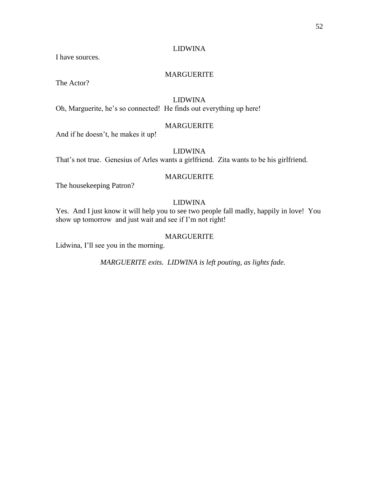# LIDWINA

I have sources.

# MARGUERITE

The Actor?

# LIDWINA

Oh, Marguerite, he's so connected! He finds out everything up here!

# MARGUERITE

And if he doesn't, he makes it up!

# LIDWINA

That's not true. Genesius of Arles wants a girlfriend. Zita wants to be his girlfriend.

# MARGUERITE

The housekeeping Patron?

# LIDWINA

Yes. And I just know it will help you to see two people fall madly, happily in love! You show up tomorrow and just wait and see if I'm not right!

# MARGUERITE

Lidwina, I'll see you in the morning.

*MARGUERITE exits. LIDWINA is left pouting, as lights fade.*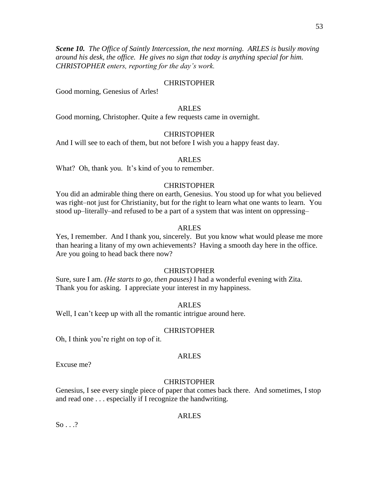*Scene 10. The Office of Saintly Intercession, the next morning. ARLES is busily moving around his desk, the office. He gives no sign that today is anything special for him. CHRISTOPHER enters, reporting for the day's work.*

# **CHRISTOPHER**

Good morning, Genesius of Arles!

# ARLES

Good morning, Christopher. Quite a few requests came in overnight.

# **CHRISTOPHER**

And I will see to each of them, but not before I wish you a happy feast day.

# ARLES

What? Oh, thank you. It's kind of you to remember.

# **CHRISTOPHER**

You did an admirable thing there on earth, Genesius. You stood up for what you believed was right–not just for Christianity, but for the right to learn what one wants to learn. You stood up–literally–and refused to be a part of a system that was intent on oppressing–

# ARLES

Yes, I remember. And I thank you, sincerely. But you know what would please me more than hearing a litany of my own achievements? Having a smooth day here in the office. Are you going to head back there now?

# CHRISTOPHER

Sure, sure I am. *(He starts to go, then pauses)* I had a wonderful evening with Zita. Thank you for asking. I appreciate your interest in my happiness.

# ARLES

Well, I can't keep up with all the romantic intrigue around here.

# **CHRISTOPHER**

Oh, I think you're right on top of it.

# ARLES

Excuse me?

# **CHRISTOPHER**

Genesius, I see every single piece of paper that comes back there. And sometimes, I stop and read one . . . especially if I recognize the handwriting.

# ARLES

 $So \ldots$ ?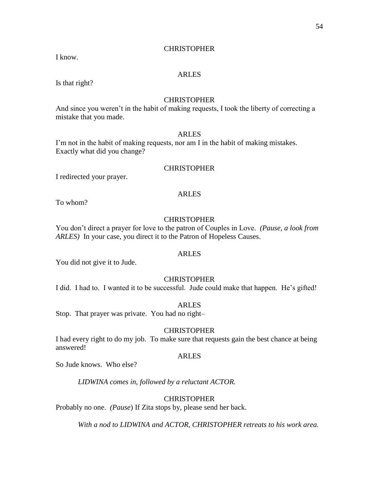# **CHRISTOPHER**

I know.

# ARLES

Is that right?

# CHRISTOPHER

And since you weren't in the habit of making requests, I took the liberty of correcting a mistake that you made.

# ARLES

I'm not in the habit of making requests, nor am I in the habit of making mistakes. Exactly what did you change?

### CHRISTOPHER

I redirected your prayer.

# ARLES

To whom?

# **CHRISTOPHER**

You don't direct a prayer for love to the patron of Couples in Love. *(Pause, a look from ARLES)* In your case, you direct it to the Patron of Hopeless Causes.

# ARLES

You did not give it to Jude.

# **CHRISTOPHER**

I did. I had to. I wanted it to be successful. Jude could make that happen. He's gifted!

#### ARLES

Stop. That prayer was private. You had no right–

# **CHRISTOPHER**

I had every right to do my job. To make sure that requests gain the best chance at being answered!

#### ARLES

So Jude knows. Who else?

*LIDWINA comes in, followed by a reluctant ACTOR.*

# **CHRISTOPHER**

Probably no one. *(Pause*) If Zita stops by, please send her back.

*With a nod to LIDWINA and ACTOR, CHRISTOPHER retreats to his work area.*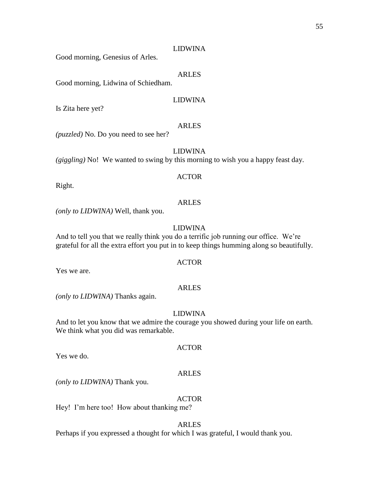# LIDWINA

Good morning, Genesius of Arles.

# ARLES

Good morning, Lidwina of Schiedham.

# LIDWINA

Is Zita here yet?

#### ARLES

*(puzzled)* No. Do you need to see her?

LIDWINA

*(giggling)* No! We wanted to swing by this morning to wish you a happy feast day.

#### ACTOR

Right.

#### ARLES

*(only to LIDWINA)* Well, thank you.

# LIDWINA

And to tell you that we really think you do a terrific job running our office. We're grateful for all the extra effort you put in to keep things humming along so beautifully.

# ACTOR

Yes we are.

# ARLES

*(only to LIDWINA)* Thanks again.

#### LIDWINA

And to let you know that we admire the courage you showed during your life on earth. We think what you did was remarkable.

Yes we do.

#### ARLES

ACTOR

*(only to LIDWINA)* Thank you.

# ACTOR

Hey! I'm here too! How about thanking me?

#### ARLES

Perhaps if you expressed a thought for which I was grateful, I would thank you.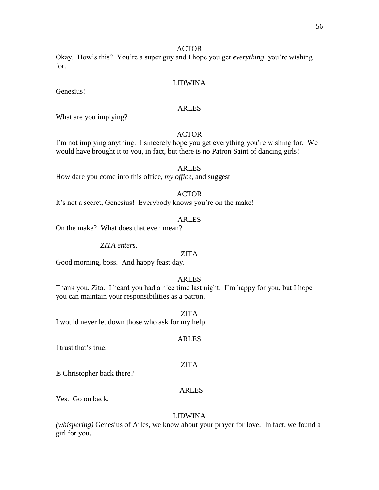# ACTOR

Okay. How's this? You're a super guy and I hope you get *everything* you're wishing for.

# LIDWINA

Genesius!

# ARLES

What are you implying?

# **ACTOR**

I'm not implying anything. I sincerely hope you get everything you're wishing for. We would have brought it to you, in fact, but there is no Patron Saint of dancing girls!

# ARLES

How dare you come into this office, *my office,* and suggest–

# ACTOR

It's not a secret, Genesius! Everybody knows you're on the make!

# ARLES

On the make? What does that even mean?

*ZITA enters.*

# ZITA

Good morning, boss. And happy feast day.

# ARLES

Thank you, Zita. I heard you had a nice time last night. I'm happy for you, but I hope you can maintain your responsibilities as a patron.

ZITA

ARLES

ZITA

I would never let down those who ask for my help.

I trust that's true.

Is Christopher back there?

# ARLES

Yes. Go on back.

# LIDWINA

*(whispering)* Genesius of Arles, we know about your prayer for love. In fact, we found a girl for you.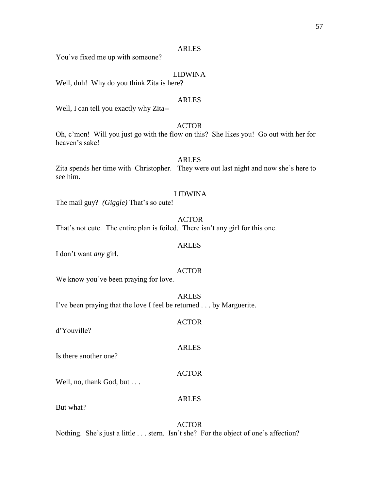You've fixed me up with someone?

# LIDWINA

Well, duh! Why do you think Zita is here?

# ARLES

Well, I can tell you exactly why Zita--

# ACTOR

Oh, c'mon! Will you just go with the flow on this? She likes you! Go out with her for heaven's sake!

# ARLES

Zita spends her time with Christopher. They were out last night and now she's here to see him.

#### LIDWINA

The mail guy? *(Giggle)* That's so cute!

#### ACTOR

That's not cute. The entire plan is foiled. There isn't any girl for this one.

# ARLES

I don't want *any* girl.

#### ACTOR

We know you've been praying for love.

ARLES I've been praying that the love I feel be returned . . . by Marguerite.

#### ACTOR

ARLES

ACTOR

ARLES

d'Youville?

Is there another one?

Well, no, thank God, but . . .

But what?

ACTOR Nothing. She's just a little . . . stern. Isn't she? For the object of one's affection?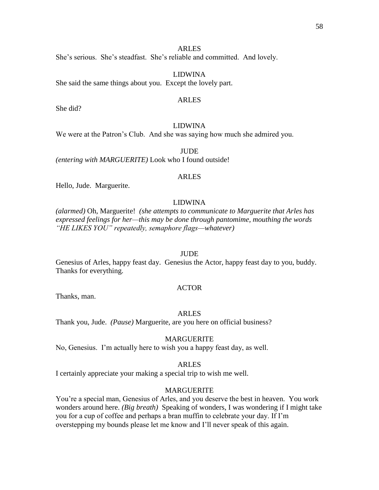She's serious. She's steadfast. She's reliable and committed. And lovely.

LIDWINA She said the same things about you. Except the lovely part.

#### ARLES

She did?

# LIDWINA

We were at the Patron's Club. And she was saying how much she admired you.

**JUDE** 

*(entering with MARGUERITE)* Look who I found outside!

# ARLES

Hello, Jude. Marguerite.

# LIDWINA

*(alarmed)* Oh, Marguerite! *(she attempts to communicate to Marguerite that Arles has expressed feelings for her—this may be done through pantomime, mouthing the words "HE LIKES YOU" repeatedly, semaphore flags—whatever)*

#### **JUDE**

Genesius of Arles, happy feast day. Genesius the Actor, happy feast day to you, buddy. Thanks for everything.

#### ACTOR

Thanks, man.

#### ARLES

Thank you, Jude. *(Pause)* Marguerite, are you here on official business?

#### MARGUERITE

No, Genesius. I'm actually here to wish you a happy feast day, as well.

# ARLES

I certainly appreciate your making a special trip to wish me well.

# MARGUERITE

You're a special man, Genesius of Arles, and you deserve the best in heaven. You work wonders around here. *(Big breath)* Speaking of wonders, I was wondering if I might take you for a cup of coffee and perhaps a bran muffin to celebrate your day. If I'm overstepping my bounds please let me know and I'll never speak of this again.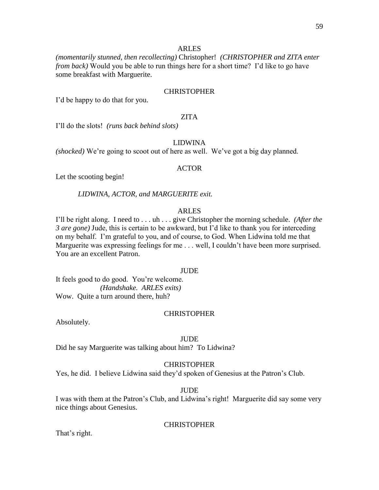*(momentarily stunned, then recollecting)* Christopher! *(CHRISTOPHER and ZITA enter from back*) Would you be able to run things here for a short time? I'd like to go have some breakfast with Marguerite.

# **CHRISTOPHER**

I'd be happy to do that for you.

# ZITA

I'll do the slots! *(runs back behind slots)*

# LIDWINA

*(shocked)* We're going to scoot out of here as well. We've got a big day planned.

#### ACTOR

Let the scooting begin!

*LIDWINA, ACTOR, and MARGUERITE exit.*

# ARLES

I'll be right along. I need to . . . uh . . . give Christopher the morning schedule. *(After the 3 are gone)* Jude, this is certain to be awkward, but I'd like to thank you for interceding on my behalf. I'm grateful to you, and of course, to God. When Lidwina told me that Marguerite was expressing feelings for me . . . well, I couldn't have been more surprised. You are an excellent Patron.

#### **JUDE**

It feels good to do good. You're welcome. *(Handshake. ARLES exits)* Wow. Quite a turn around there, huh?

#### **CHRISTOPHER**

Absolutely.

#### JUDE

Did he say Marguerite was talking about him? To Lidwina?

#### **CHRISTOPHER**

Yes, he did. I believe Lidwina said they'd spoken of Genesius at the Patron's Club.

#### JUDE

I was with them at the Patron's Club, and Lidwina's right! Marguerite did say some very nice things about Genesius.

#### CHRISTOPHER

That's right.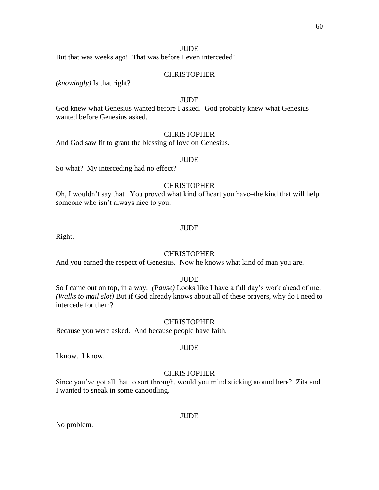# **JUDE**

But that was weeks ago! That was before I even interceded!

# **CHRISTOPHER**

*(knowingly)* Is that right?

# **JUDE**

God knew what Genesius wanted before I asked. God probably knew what Genesius wanted before Genesius asked.

# **CHRISTOPHER**

And God saw fit to grant the blessing of love on Genesius.

#### JUDE

So what? My interceding had no effect?

# CHRISTOPHER

Oh, I wouldn't say that. You proved what kind of heart you have–the kind that will help someone who isn't always nice to you.

#### JUDE

Right.

#### **CHRISTOPHER**

And you earned the respect of Genesius. Now he knows what kind of man you are.

# **JUDE**

So I came out on top, in a way. *(Pause)* Looks like I have a full day's work ahead of me. *(Walks to mail slot)* But if God already knows about all of these prayers, why do I need to intercede for them?

#### **CHRISTOPHER**

JUDE

Because you were asked. And because people have faith.

# I know. I know.

#### **CHRISTOPHER**

Since you've got all that to sort through, would you mind sticking around here? Zita and I wanted to sneak in some canoodling.

No problem.

#### JUDE